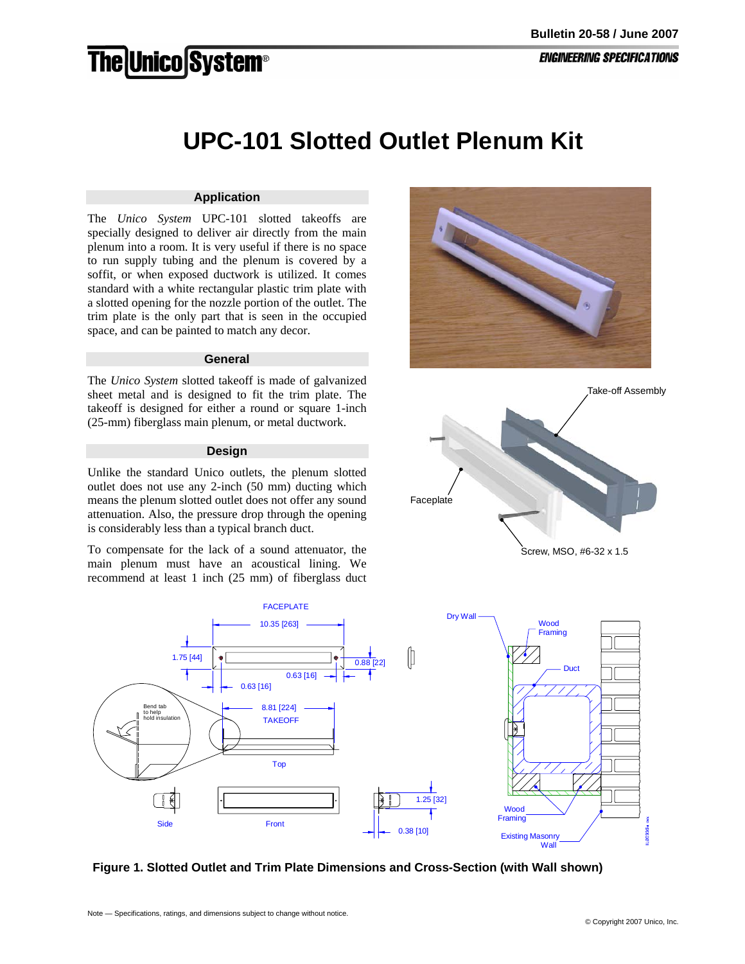# **The Unico System®**

## **UPC-101 Slotted Outlet Plenum Kit**

### **Application**

The *Unico System* UPC-101 slotted takeoffs are specially designed to deliver air directly from the main plenum into a room. It is very useful if there is no space to run supply tubing and the plenum is covered by a soffit, or when exposed ductwork is utilized. It comes standard with a white rectangular plastic trim plate with a slotted opening for the nozzle portion of the outlet. The trim plate is the only part that is seen in the occupied space, and can be painted to match any decor.

#### **General**

The *Unico System* slotted takeoff is made of galvanized sheet metal and is designed to fit the trim plate. The takeoff is designed for either a round or square 1-inch (25-mm) fiberglass main plenum, or metal ductwork.

#### **Design**

Unlike the standard Unico outlets, the plenum slotted outlet does not use any 2-inch (50 mm) ducting which means the plenum slotted outlet does not offer any sound attenuation. Also, the pressure drop through the opening is considerably less than a typical branch duct.

To compensate for the lack of a sound attenuator, the main plenum must have an acoustical lining. We recommend at least 1 inch (25 mm) of fiberglass duct







**Figure 1. Slotted Outlet and Trim Plate Dimensions and Cross-Section (with Wall shown)**